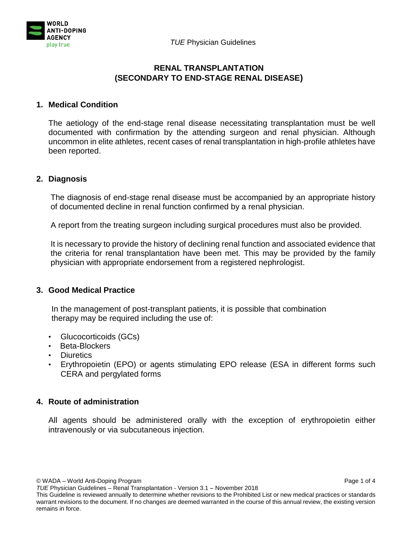



## **RENAL TRANSPLANTATION (SECONDARY TO END-STAGE RENAL DISEASE)**

# **1. Medical Condition**

The aetiology of the end-stage renal disease necessitating transplantation must be well documented with confirmation by the attending surgeon and renal physician. Although uncommon in elite athletes, recent cases of renal transplantation in high-profile athletes have been reported.

# **2. Diagnosis**

The diagnosis of end-stage renal disease must be accompanied by an appropriate history of documented decline in renal function confirmed by a renal physician.

A report from the treating surgeon including surgical procedures must also be provided.

It is necessary to provide the history of declining renal function and associated evidence that the criteria for renal transplantation have been met. This may be provided by the family physician with appropriate endorsement from a registered nephrologist.

# **3. Good Medical Practice**

In the management of post-transplant patients, it is possible that combination therapy may be required including the use of:

- Glucocorticoids (GCs)
- Beta-Blockers
- Diuretics
- Erythropoietin (EPO) or agents stimulating EPO release (ESA in different forms such CERA and pergylated forms

# **4. Route of administration**

All agents should be administered orally with the exception of erythropoietin either intravenously or via subcutaneous injection.

© WADA – World Anti-Doping Program Page 1 of 4

*TUE* Physician Guidelines – Renal Transplantation - Version 3.1 – November 2018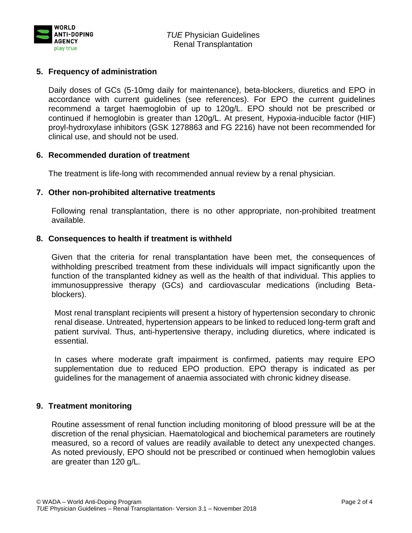

# **5. Frequency of administration**

Daily doses of GCs (5-10mg daily for maintenance), beta-blockers, diuretics and EPO in accordance with current guidelines (see references). For EPO the current guidelines recommend a target haemoglobin of up to 120g/L. EPO should not be prescribed or continued if hemoglobin is greater than 120g/L. At present, Hypoxia-inducible factor (HIF) proyl-hydroxylase inhibitors (GSK 1278863 and FG 2216) have not been recommended for clinical use, and should not be used.

## **6. Recommended duration of treatment**

The treatment is life-long with recommended annual review by a renal physician.

#### **7. Other non-prohibited alternative treatments**

Following renal transplantation, there is no other appropriate, non-prohibited treatment available.

## **8. Consequences to health if treatment is withheld**

Given that the criteria for renal transplantation have been met, the consequences of withholding prescribed treatment from these individuals will impact significantly upon the function of the transplanted kidney as well as the health of that individual. This applies to immunosuppressive therapy (GCs) and cardiovascular medications (including Betablockers).

Most renal transplant recipients will present a history of hypertension secondary to chronic renal disease. Untreated, hypertension appears to be linked to reduced long-term graft and patient survival. Thus, anti-hypertensive therapy, including diuretics, where indicated is essential.

In cases where moderate graft impairment is confirmed, patients may require EPO supplementation due to reduced EPO production. EPO therapy is indicated as per guidelines for the management of anaemia associated with chronic kidney disease.

#### **9. Treatment monitoring**

Routine assessment of renal function including monitoring of blood pressure will be at the discretion of the renal physician. Haematological and biochemical parameters are routinely measured, so a record of values are readily available to detect any unexpected changes. As noted previously, EPO should not be prescribed or continued when hemoglobin values are greater than 120 g/L.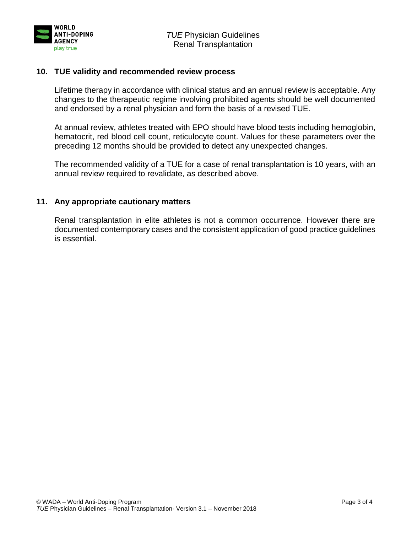

### **10. TUE validity and recommended review process**

Lifetime therapy in accordance with clinical status and an annual review is acceptable. Any changes to the therapeutic regime involving prohibited agents should be well documented and endorsed by a renal physician and form the basis of a revised TUE.

At annual review, athletes treated with EPO should have blood tests including hemoglobin, hematocrit, red blood cell count, reticulocyte count. Values for these parameters over the preceding 12 months should be provided to detect any unexpected changes.

The recommended validity of a TUE for a case of renal transplantation is 10 years, with an annual review required to revalidate, as described above.

## **11. Any appropriate cautionary matters**

Renal transplantation in elite athletes is not a common occurrence. However there are documented contemporary cases and the consistent application of good practice guidelines is essential.